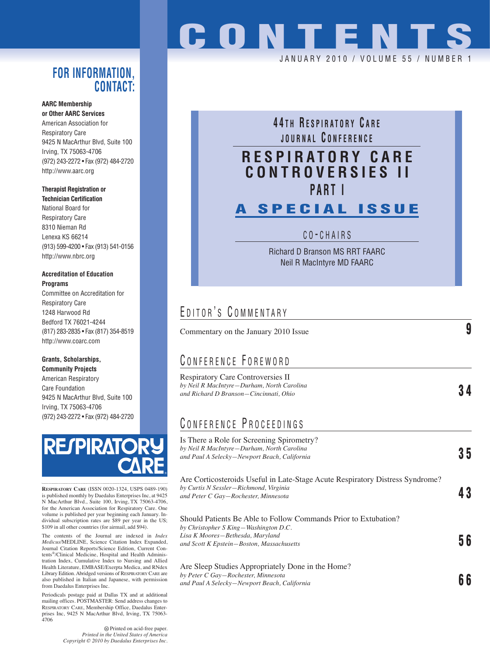#### **FOR INFORMATION, CONTACT:**

#### **AARC Membership or Other AARC Services**

American Association for Respiratory Care 9425 N MacArthur Blvd, Suite 100 Irving, TX 75063-4706 (972) 243-2272 • Fax (972) 484-2720 http://www.aarc.org

#### **Therapist Registration or Technician Certification**

National Board for Respiratory Care 8310 Nieman Rd Lenexa KS 66214 (913) 599-4200 • Fax (913) 541-0156 http://www.nbrc.org

#### **Accreditation of Education Programs**

Committee on Accreditation for Respiratory Care 1248 Harwood Rd Bedford TX 76021-4244 (817) 283-2835 • Fax (817) 354-8519 http://www.coarc.com

#### **Grants, Scholarships, Community Projects**

American Respiratory Care Foundation 9425 N MacArthur Blvd, Suite 100 Irving, TX 75063-4706 (972) 243-2272 • Fax (972) 484-2720



**RESPIRATORY CARE** (ISSN 0020-1324, USPS 0489-190) is published monthly by Daedalus Enterprises Inc, at 9425 N MacArthur Blvd., Suite 100, Irving, TX 75063-4706, for the American Association for Respiratory Care. One volume is published per year beginning each January. In-dividual subscription rates are \$89 per year in the US; \$109 in all other countries (for airmail, add \$94).

The contents of the Journal are indexed in *Index Medicus*/MEDLINE, Science Citation Index Expanded, Journal Citation Reports/Science Edition, Current Contents®/Clinical Medicine, Hospital and Health Administration Index, Cumulative Index to Nursing and Allied Health Literature, EMBASE/Exerpta Medica, and RNdex Library Edition. Abridged versions of RESPIRATORY CARE are also published in Italian and Japanese, with permission from Daedalus Enterprises Inc.

Periodicals postage paid at Dallas TX and at additional mailing offices. POSTMASTER: Send address changes to RESPIRATORY CARE, Membership Office, Daedalus Enterprises Inc, 9425 N MacArthur Blvd, Irving, TX 75063- 4706

> Printed on acid-free paper. *Printed in the United States of America Copyright © 2010 by Daedalus Enterprises Inc.*

# **CONTENTS**

JANUARY 2010 / VOLUME 55 / NUMBE

## **4 4 T H R ESPIRATORY C ARE JOURNAL C ONFERENCE**

### **RESPIRATORY CARE CONTROVERSIES II PART I**

## **A SPECIAL ISSUE**

C O - CHAIRS

Richard D Branson MS RRT FAARC Neil R MacIntyre MD FAARC

## EDITOR'S COMMENTARY

| Commentary on the January 2010 Issue                                                                                                                                                      |    |
|-------------------------------------------------------------------------------------------------------------------------------------------------------------------------------------------|----|
| CONFERENCE FOREWORD                                                                                                                                                                       |    |
| Respiratory Care Controversies II<br>by Neil R MacIntyre-Durham, North Carolina<br>and Richard D Branson-Cincinnati, Ohio                                                                 |    |
| CONFERENCE PROCEEDINGS                                                                                                                                                                    |    |
| Is There a Role for Screening Spirometry?<br>by Neil R MacIntyre-Durham, North Carolina<br>and Paul A Selecky-Newport Beach, California                                                   | 35 |
| Are Corticosteroids Useful in Late-Stage Acute Respiratory Distress Syndrome?<br>by Curtis N Sessler-Richmond, Virginia<br>and Peter C Gay-Rochester, Minnesota                           | 43 |
| Should Patients Be Able to Follow Commands Prior to Extubation?<br>by Christopher S King-Washington D.C.<br>Lisa K Moores-Bethesda, Maryland<br>and Scott K Epstein-Boston, Massachusetts | 56 |
| Are Sleep Studies Appropriately Done in the Home?<br>by Peter C Gay-Rochester, Minnesota<br>and Paul A Selecky-Newport Beach, California                                                  | 66 |